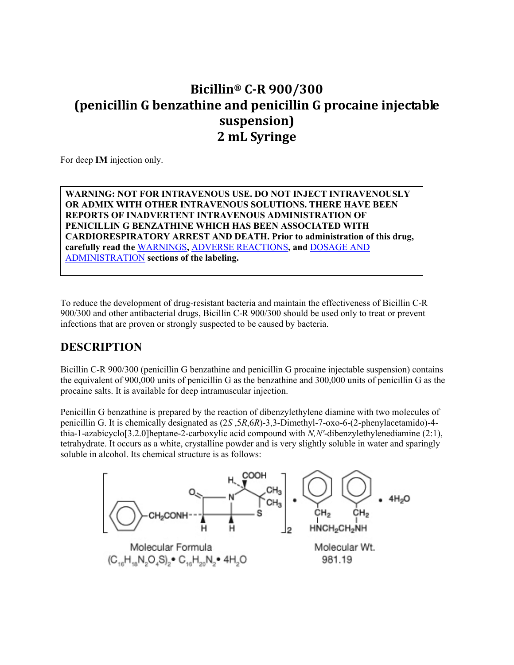# **Bicillin® C-R 900/300 (penicillin G benzathine and penicillin G procaine injectable suspension) 2 mL Syringe**

For deep **IM** injection only.

**WARNING: NOT FOR INTRAVENOUS USE. DO NOT INJECT INTRAVENOUSLY OR ADMIX WITH OTHER INTRAVENOUS SOLUTIONS. THERE HAVE BEEN REPORTS OF INADVERTENT INTRAVENOUS ADMINISTRATION OF PENICILLIN G BENZATHINE WHICH HAS BEEN ASSOCIATED WITH CARDIORESPIRATORY ARREST AND DEATH. Prior to administration of this drug, carefully read the** WARNINGS**,** ADVERSE REACTIONS**, and** DOSAGE AND ADMINISTRATION **sections of the labeling.**

To reduce the development of drug-resistant bacteria and maintain the effectiveness of Bicillin C-R 900/300 and other antibacterial drugs, Bicillin C-R 900/300 should be used only to treat or prevent infections that are proven or strongly suspected to be caused by bacteria.

### **DESCRIPTION**

Bicillin C-R 900/300 (penicillin G benzathine and penicillin G procaine injectable suspension) contains the equivalent of 900,000 units of penicillin G as the benzathine and 300,000 units of penicillin G as the procaine salts. It is available for deep intramuscular injection.

Penicillin G benzathine is prepared by the reaction of dibenzylethylene diamine with two molecules of penicillin G. It is chemically designated as (2*S* ,5*R*,6*R*)-3,3-Dimethyl-7-oxo-6-(2-phenylacetamido)-4 thia-1-azabicyclo[3.2.0]heptane-2-carboxylic acid compound with *N,N'*-dibenzylethylenediamine (2:1), tetrahydrate. It occurs as a white, crystalline powder and is very slightly soluble in water and sparingly soluble in alcohol. Its chemical structure is as follows:

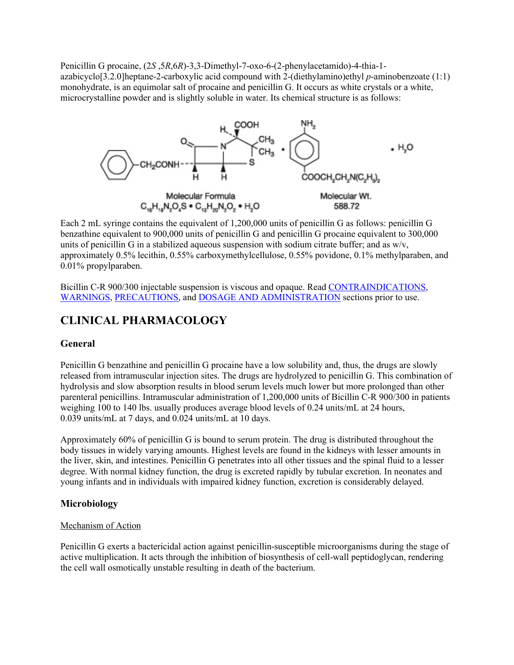Penicillin G procaine, (2*S* ,5*R*,6*R*)-3,3-Dimethyl-7-oxo-6-(2-phenylacetamido)-4-thia-1 azabicyclo[3.2.0]heptane-2-carboxylic acid compound with 2-(diethylamino)ethyl *p*-aminobenzoate (1:1) monohydrate, is an equimolar salt of procaine and penicillin G. It occurs as white crystals or a white, microcrystalline powder and is slightly soluble in water. Its chemical structure is as follows:



Each 2 mL syringe contains the equivalent of 1,200,000 units of penicillin G as follows: penicillin G benzathine equivalent to 900,000 units of penicillin G and penicillin G procaine equivalent to 300,000 units of penicillin G in a stabilized aqueous suspension with sodium citrate buffer; and as w/v, approximately 0.5% lecithin, 0.55% carboxymethylcellulose, 0.55% povidone, 0.1% methylparaben, and 0.01% propylparaben.

Bicillin C-R 900/300 injectable suspension is viscous and opaque. Read [CONTRAINDICATIONS](#page-3-1), [WARNINGS](#page-3-0), [PRECAUTIONS,](#page-5-0) and [DOSAGE AND ADMINISTRATION](#page-9-0) sections prior to use.

## <span id="page-1-0"></span>**CLINICAL PHARMACOLOGY**

#### **General**

Penicillin G benzathine and penicillin G procaine have a low solubility and, thus, the drugs are slowly released from intramuscular injection sites. The drugs are hydrolyzed to penicillin G. This combination of hydrolysis and slow absorption results in blood serum levels much lower but more prolonged than other parenteral penicillins. Intramuscular administration of 1,200,000 units of Bicillin C-R 900/300 in patients weighing 100 to 140 lbs. usually produces average blood levels of 0.24 units/mL at 24 hours, 0.039 units/mL at 7 days, and 0.024 units/mL at 10 days.

Approximately 60% of penicillin G is bound to serum protein. The drug is distributed throughout the body tissues in widely varying amounts. Highest levels are found in the kidneys with lesser amounts in the liver, skin, and intestines. Penicillin G penetrates into all other tissues and the spinal fluid to a lesser degree. With normal kidney function, the drug is excreted rapidly by tubular excretion. In neonates and young infants and in individuals with impaired kidney function, excretion is considerably delayed.

#### **Microbiology**

#### Mechanism of Action

Penicillin G exerts a bactericidal action against penicillin-susceptible microorganisms during the stage of active multiplication. It acts through the inhibition of biosynthesis of cell-wall peptidoglycan, rendering the cell wall osmotically unstable resulting in death of the bacterium.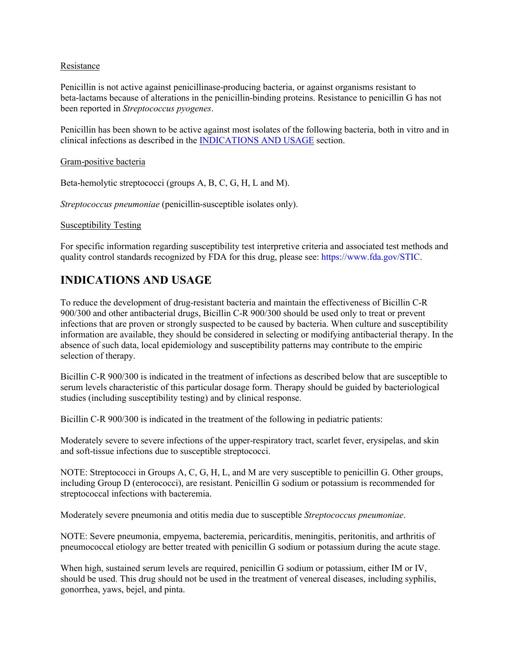#### Resistance

Penicillin is not active against penicillinase-producing bacteria, or against organisms resistant to beta-lactams because of alterations in the penicillin-binding proteins. Resistance to penicillin G has not been reported in *Streptococcus pyogenes*.

Penicillin has been shown to be active against most isolates of the following bacteria, both in vitro and in clinical infections as described in the [INDICATIONS AND USAGE](#page-2-0) section.

Gram-positive bacteria

Beta-hemolytic streptococci (groups A, B, C, G, H, L and M).

*Streptococcus pneumoniae* (penicillin-susceptible isolates only).

#### Susceptibility Testing

For specific information regarding susceptibility test interpretive criteria and associated test methods and quality control standards recognized by FDA for this drug, please see:<https://www.fda.gov/STIC>.

### <span id="page-2-0"></span>**INDICATIONS AND USAGE**

To reduce the development of drug-resistant bacteria and maintain the effectiveness of Bicillin C-R 900/300 and other antibacterial drugs, Bicillin C-R 900/300 should be used only to treat or prevent infections that are proven or strongly suspected to be caused by bacteria. When culture and susceptibility information are available, they should be considered in selecting or modifying antibacterial therapy. In the absence of such data, local epidemiology and susceptibility patterns may contribute to the empiric selection of therapy.

Bicillin C-R 900/300 is indicated in the treatment of infections as described below that are susceptible to serum levels characteristic of this particular dosage form. Therapy should be guided by bacteriological studies (including susceptibility testing) and by clinical response.

Bicillin C-R 900/300 is indicated in the treatment of the following in pediatric patients:

Moderately severe to severe infections of the upper-respiratory tract, scarlet fever, erysipelas, and skin and soft-tissue infections due to susceptible streptococci.

NOTE: Streptococci in Groups A, C, G, H, L, and M are very susceptible to penicillin G. Other groups, including Group D (enterococci), are resistant. Penicillin G sodium or potassium is recommended for streptococcal infections with bacteremia.

Moderately severe pneumonia and otitis media due to susceptible *Streptococcus pneumoniae*.

NOTE: Severe pneumonia, empyema, bacteremia, pericarditis, meningitis, peritonitis, and arthritis of pneumococcal etiology are better treated with penicillin G sodium or potassium during the acute stage.

When high, sustained serum levels are required, penicillin G sodium or potassium, either IM or IV, should be used. This drug should not be used in the treatment of venereal diseases, including syphilis, gonorrhea, yaws, bejel, and pinta.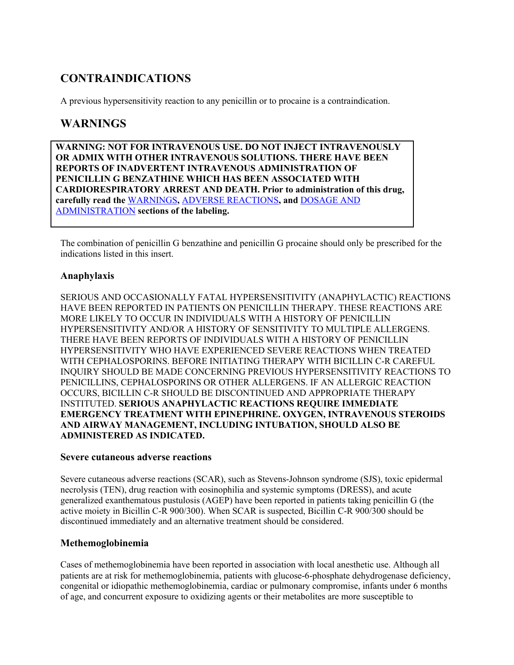## <span id="page-3-1"></span>**CONTRAINDICATIONS**

A previous hypersensitivity reaction to any penicillin or to procaine is a contraindication.

## <span id="page-3-0"></span>**WARNINGS**

**WARNING: NOT FOR INTRAVENOUS USE. DO NOT INJECT INTRAVENOUSLY OR ADMIX WITH OTHER INTRAVENOUS SOLUTIONS. THERE HAVE BEEN REPORTS OF INADVERTENT INTRAVENOUS ADMINISTRATION OF PENICILLIN G BENZATHINE WHICH HAS BEEN ASSOCIATED WITH CARDIORESPIRATORY ARREST AND DEATH. Prior to administration of this drug, carefully read the** [WARNINGS](#page-3-0)**,** [ADVERSE REACTIONS](#page-7-0)**, and** [DOSAGE AND](#page-9-0)  [ADMINISTRATION](#page-9-0) **sections of the labeling.**

The combination of penicillin G benzathine and penicillin G procaine should only be prescribed for the indications listed in this insert.

#### **Anaphylaxis**

SERIOUS AND OCCASIONALLY FATAL HYPERSENSITIVITY (ANAPHYLACTIC) REACTIONS HAVE BEEN REPORTED IN PATIENTS ON PENICILLIN THERAPY. THESE REACTIONS ARE MORE LIKELY TO OCCUR IN INDIVIDUALS WITH A HISTORY OF PENICILLIN HYPERSENSITIVITY AND/OR A HISTORY OF SENSITIVITY TO MULTIPLE ALLERGENS. THERE HAVE BEEN REPORTS OF INDIVIDUALS WITH A HISTORY OF PENICILLIN HYPERSENSITIVITY WHO HAVE EXPERIENCED SEVERE REACTIONS WHEN TREATED WITH CEPHALOSPORINS. BEFORE INITIATING THERAPY WITH BICILLIN C-R CAREFUL INQUIRY SHOULD BE MADE CONCERNING PREVIOUS HYPERSENSITIVITY REACTIONS TO PENICILLINS, CEPHALOSPORINS OR OTHER ALLERGENS. IF AN ALLERGIC REACTION OCCURS, BICILLIN C-R SHOULD BE DISCONTINUED AND APPROPRIATE THERAPY INSTITUTED. **SERIOUS ANAPHYLACTIC REACTIONS REQUIRE IMMEDIATE EMERGENCY TREATMENT WITH EPINEPHRINE. OXYGEN, INTRAVENOUS STEROIDS AND AIRWAY MANAGEMENT, INCLUDING INTUBATION, SHOULD ALSO BE ADMINISTERED AS INDICATED.**

#### **Severe cutaneous adverse reactions**

Severe cutaneous adverse reactions (SCAR), such as Stevens-Johnson syndrome (SJS), toxic epidermal necrolysis (TEN), drug reaction with eosinophilia and systemic symptoms (DRESS), and acute generalized exanthematous pustulosis (AGEP) have been reported in patients taking penicillin G (the active moiety in Bicillin C-R 900/300). When SCAR is suspected, Bicillin C-R 900/300 should be discontinued immediately and an alternative treatment should be considered.

#### **Methemoglobinemia**

Cases of methemoglobinemia have been reported in association with local anesthetic use. Although all patients are at risk for methemoglobinemia, patients with glucose-6-phosphate dehydrogenase deficiency, congenital or idiopathic methemoglobinemia, cardiac or pulmonary compromise, infants under 6 months of age, and concurrent exposure to oxidizing agents or their metabolites are more susceptible to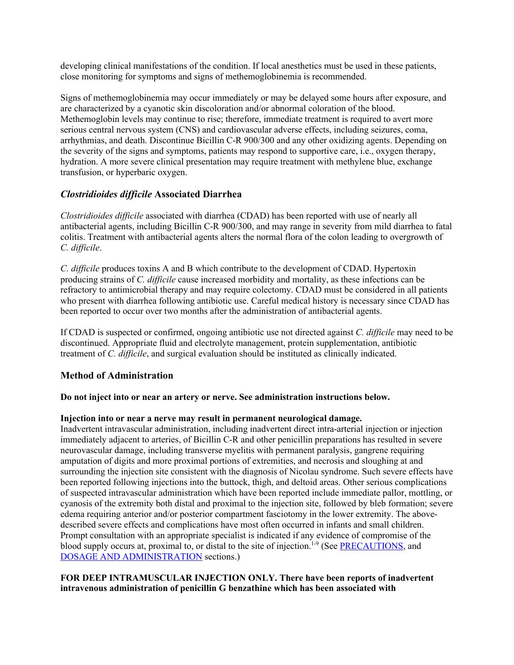developing clinical manifestations of the condition. If local anesthetics must be used in these patients, close monitoring for symptoms and signs of methemoglobinemia is recommended.

Signs of methemoglobinemia may occur immediately or may be delayed some hours after exposure, and are characterized by a cyanotic skin discoloration and/or abnormal coloration of the blood. Methemoglobin levels may continue to rise; therefore, immediate treatment is required to avert more serious central nervous system (CNS) and cardiovascular adverse effects, including seizures, coma, arrhythmias, and death. Discontinue Bicillin C-R 900/300 and any other oxidizing agents. Depending on the severity of the signs and symptoms, patients may respond to supportive care, i.e., oxygen therapy, hydration. A more severe clinical presentation may require treatment with methylene blue, exchange transfusion, or hyperbaric oxygen.

#### *Clostridioides difficile* **Associated Diarrhea**

*Clostridioides difficile* associated with diarrhea (CDAD) has been reported with use of nearly all antibacterial agents, including Bicillin C-R 900/300, and may range in severity from mild diarrhea to fatal colitis. Treatment with antibacterial agents alters the normal flora of the colon leading to overgrowth of *C. difficile*.

*C. difficile* produces toxins A and B which contribute to the development of CDAD. Hypertoxin producing strains of *C. difficile* cause increased morbidity and mortality, as these infections can be refractory to antimicrobial therapy and may require colectomy. CDAD must be considered in all patients who present with diarrhea following antibiotic use. Careful medical history is necessary since CDAD has been reported to occur over two months after the administration of antibacterial agents.

If CDAD is suspected or confirmed, ongoing antibiotic use not directed against *C. difficile* may need to be discontinued. Appropriate fluid and electrolyte management, protein supplementation, antibiotic treatment of *C. difficile*, and surgical evaluation should be instituted as clinically indicated.

### **Method of Administration**

**Do not inject into or near an artery or nerve. See administration instructions below.**

#### **Injection into or near a nerve may result in permanent neurological damage.**

Inadvertent intravascular administration, including inadvertent direct intra-arterial injection or injection immediately adjacent to arteries, of Bicillin C-R and other penicillin preparations has resulted in severe neurovascular damage, including transverse myelitis with permanent paralysis, gangrene requiring amputation of digits and more proximal portions of extremities, and necrosis and sloughing at and surrounding the injection site consistent with the diagnosis of Nicolau syndrome. Such severe effects have been reported following injections into the buttock, thigh, and deltoid areas. Other serious complications of suspected intravascular administration which have been reported include immediate pallor, mottling, or cyanosis of the extremity both distal and proximal to the injection site, followed by bleb formation; severe edema requiring anterior and/or posterior compartment fasciotomy in the lower extremity. The abovedescribed severe effects and complications have most often occurred in infants and small children. Prompt consultation with an appropriate specialist is indicated if any evidence of compromise of the blood supply occurs at, proximal to, or distal to the site of injection.<sup>1-9</sup> (See **PRECAUTIONS**, and [DOSAGE AND ADMINISTRATION](#page-9-0) sections.)

#### **FOR DEEP INTRAMUSCULAR INJECTION ONLY. There have been reports of inadvertent intravenous administration of penicillin G benzathine which has been associated with**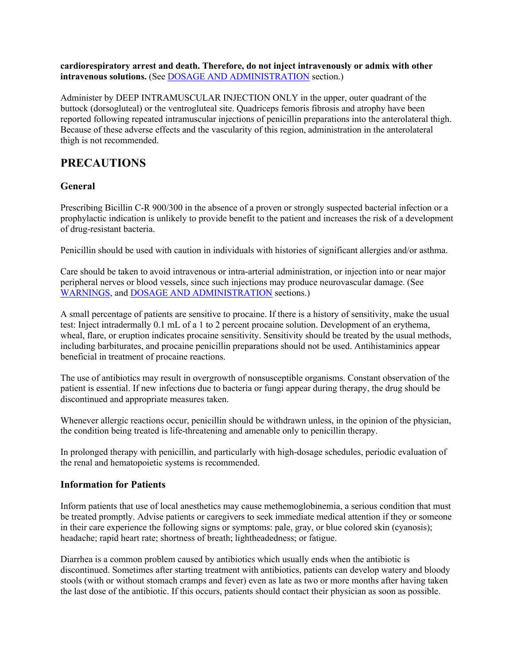**cardiorespiratory arrest and death. Therefore, do not inject intravenously or admix with other intravenous solutions.** (See [DOSAGE AND ADMINISTRATION](#page-9-0) section.)

Administer by DEEP INTRAMUSCULAR INJECTION ONLY in the upper, outer quadrant of the buttock (dorsogluteal) or the ventrogluteal site. Quadriceps femoris fibrosis and atrophy have been reported following repeated intramuscular injections of penicillin preparations into the anterolateral thigh. Because of these adverse effects and the vascularity of this region, administration in the anterolateral thigh is not recommended.

## <span id="page-5-0"></span>**PRECAUTIONS**

### **General**

Prescribing Bicillin C-R 900/300 in the absence of a proven or strongly suspected bacterial infection or a prophylactic indication is unlikely to provide benefit to the patient and increases the risk of a development of drug-resistant bacteria.

Penicillin should be used with caution in individuals with histories of significant allergies and/or asthma.

Care should be taken to avoid intravenous or intra-arterial administration, or injection into or near major peripheral nerves or blood vessels, since such injections may produce neurovascular damage. (See [WARNINGS](#page-3-0), and [DOSAGE AND ADMINISTRATION](#page-9-0) sections.)

A small percentage of patients are sensitive to procaine. If there is a history of sensitivity, make the usual test: Inject intradermally 0.1 mL of a 1 to 2 percent procaine solution. Development of an erythema, wheal, flare, or eruption indicates procaine sensitivity. Sensitivity should be treated by the usual methods, including barbiturates, and procaine penicillin preparations should not be used. Antihistaminics appear beneficial in treatment of procaine reactions.

The use of antibiotics may result in overgrowth of nonsusceptible organisms. Constant observation of the patient is essential. If new infections due to bacteria or fungi appear during therapy, the drug should be discontinued and appropriate measures taken.

Whenever allergic reactions occur, penicillin should be withdrawn unless, in the opinion of the physician, the condition being treated is life-threatening and amenable only to penicillin therapy.

In prolonged therapy with penicillin, and particularly with high-dosage schedules, periodic evaluation of the renal and hematopoietic systems is recommended.

#### **Information for Patients**

Inform patients that use of local anesthetics may cause methemoglobinemia, a serious condition that must be treated promptly. Advise patients or caregivers to seek immediate medical attention if they or someone in their care experience the following signs or symptoms: pale, gray, or blue colored skin (cyanosis); headache; rapid heart rate; shortness of breath; lightheadedness; or fatigue.

Diarrhea is a common problem caused by antibiotics which usually ends when the antibiotic is discontinued. Sometimes after starting treatment with antibiotics, patients can develop watery and bloody stools (with or without stomach cramps and fever) even as late as two or more months after having taken the last dose of the antibiotic. If this occurs, patients should contact their physician as soon as possible.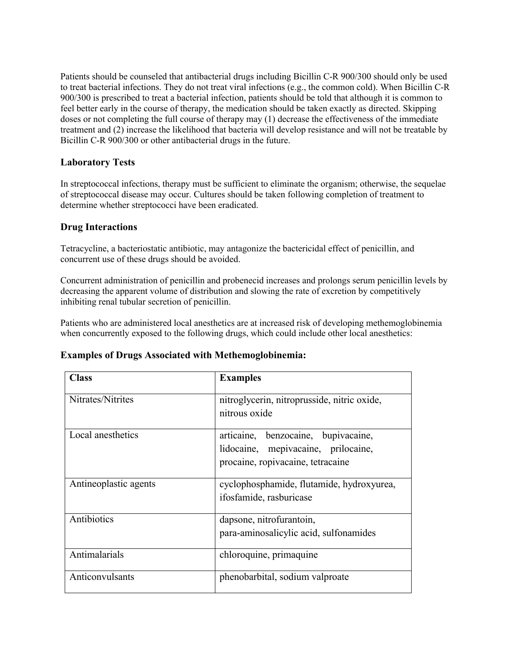Patients should be counseled that antibacterial drugs including Bicillin C-R 900/300 should only be used to treat bacterial infections. They do not treat viral infections (e.g., the common cold). When Bicillin C-R 900/300 is prescribed to treat a bacterial infection, patients should be told that although it is common to feel better early in the course of therapy, the medication should be taken exactly as directed. Skipping doses or not completing the full course of therapy may (1) decrease the effectiveness of the immediate treatment and (2) increase the likelihood that bacteria will develop resistance and will not be treatable by Bicillin C-R 900/300 or other antibacterial drugs in the future.

### **Laboratory Tests**

In streptococcal infections, therapy must be sufficient to eliminate the organism; otherwise, the sequelae of streptococcal disease may occur. Cultures should be taken following completion of treatment to determine whether streptococci have been eradicated.

#### **Drug Interactions**

Tetracycline, a bacteriostatic antibiotic, may antagonize the bactericidal effect of penicillin, and concurrent use of these drugs should be avoided.

Concurrent administration of penicillin and probenecid increases and prolongs serum penicillin levels by decreasing the apparent volume of distribution and slowing the rate of excretion by competitively inhibiting renal tubular secretion of penicillin.

Patients who are administered local anesthetics are at increased risk of developing methemoglobinemia when concurrently exposed to the following drugs, which could include other local anesthetics:

|  | <b>Examples of Drugs Associated with Methemoglobinemia:</b> |  |  |
|--|-------------------------------------------------------------|--|--|
|  |                                                             |  |  |

| Class                 | <b>Examples</b>                                                                                                 |
|-----------------------|-----------------------------------------------------------------------------------------------------------------|
| Nitrates/Nitrites     | nitroglycerin, nitroprusside, nitric oxide,<br>nitrous oxide                                                    |
| Local anesthetics     | articaine, benzocaine, bupivacaine,<br>lidocaine, mepivacaine, prilocaine,<br>procaine, ropivacaine, tetracaine |
| Antineoplastic agents | cyclophosphamide, flutamide, hydroxyurea,<br>ifosfamide, rasburicase                                            |
| Antibiotics           | dapsone, nitrofurantoin,<br>para-aminosalicylic acid, sulfonamides                                              |
| Antimalarials         | chloroquine, primaquine                                                                                         |
| Anticonvulsants       | phenobarbital, sodium valproate                                                                                 |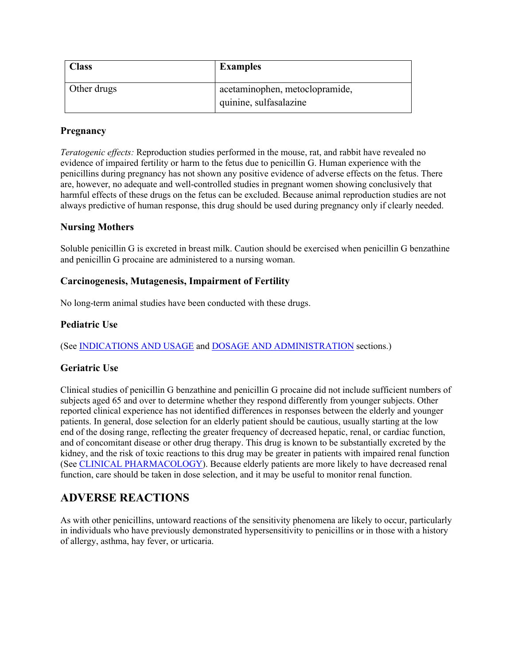| <b>Class</b> | <b>Examples</b>                                          |
|--------------|----------------------------------------------------------|
| Other drugs  | acetaminophen, metoclopramide,<br>quinine, sulfasalazine |

### **Pregnancy**

*Teratogenic effects:* Reproduction studies performed in the mouse, rat, and rabbit have revealed no evidence of impaired fertility or harm to the fetus due to penicillin G. Human experience with the penicillins during pregnancy has not shown any positive evidence of adverse effects on the fetus. There are, however, no adequate and well-controlled studies in pregnant women showing conclusively that harmful effects of these drugs on the fetus can be excluded. Because animal reproduction studies are not always predictive of human response, this drug should be used during pregnancy only if clearly needed.

### **Nursing Mothers**

Soluble penicillin G is excreted in breast milk. Caution should be exercised when penicillin G benzathine and penicillin G procaine are administered to a nursing woman.

### **Carcinogenesis, Mutagenesis, Impairment of Fertility**

No long-term animal studies have been conducted with these drugs.

### **Pediatric Use**

(See [INDICATIONS AND USAGE](#page-2-0) and [DOSAGE AND ADMINISTRATION](#page-9-0) sections.)

#### **Geriatric Use**

Clinical studies of penicillin G benzathine and penicillin G procaine did not include sufficient numbers of subjects aged 65 and over to determine whether they respond differently from younger subjects. Other reported clinical experience has not identified differences in responses between the elderly and younger patients. In general, dose selection for an elderly patient should be cautious, usually starting at the low end of the dosing range, reflecting the greater frequency of decreased hepatic, renal, or cardiac function, and of concomitant disease or other drug therapy. This drug is known to be substantially excreted by the kidney, and the risk of toxic reactions to this drug may be greater in patients with impaired renal function (See [CLINICAL PHARMACOLOGY](#page-1-0)). Because elderly patients are more likely to have decreased renal function, care should be taken in dose selection, and it may be useful to monitor renal function.

## <span id="page-7-0"></span>**ADVERSE REACTIONS**

As with other penicillins, untoward reactions of the sensitivity phenomena are likely to occur, particularly in individuals who have previously demonstrated hypersensitivity to penicillins or in those with a history of allergy, asthma, hay fever, or urticaria.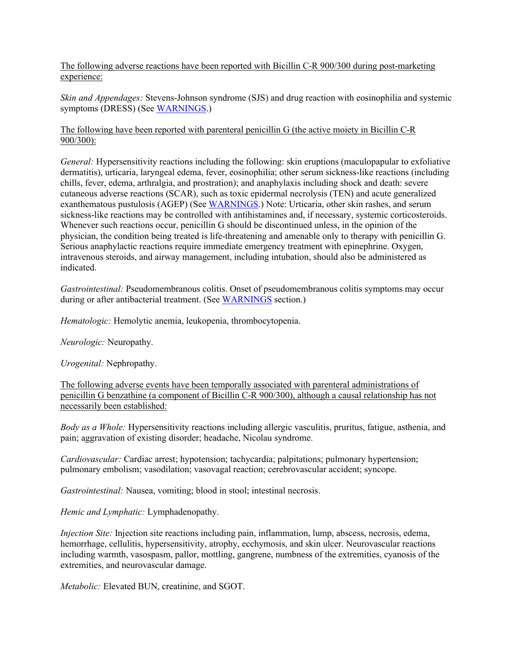The following adverse reactions have been reported with Bicillin C-R 900/300 during post-marketing experience:

*Skin and Appendages:* Stevens-Johnson syndrome (SJS) and drug reaction with eosinophilia and systemic symptoms (DRESS) (See [WARNINGS.](#page-3-0))

The following have been reported with parenteral penicillin G (the active moiety in Bicillin C-R 900/300):

*General:* Hypersensitivity reactions including the following: skin eruptions (maculopapular to exfoliative dermatitis), urticaria, laryngeal edema, fever, eosinophilia; other serum sickness-like reactions (including chills, fever, edema, arthralgia, and prostration); and anaphylaxis including shock and death: severe cutaneous adverse reactions (SCAR), such as toxic epidermal necrolysis (TEN) and acute generalized exanthematous pustulosis (AGEP) (See [WARNINGS.](#page-3-0)) Note: Urticaria, other skin rashes, and serum sickness-like reactions may be controlled with antihistamines and, if necessary, systemic corticosteroids. Whenever such reactions occur, penicillin G should be discontinued unless, in the opinion of the physician, the condition being treated is life-threatening and amenable only to therapy with penicillin G. Serious anaphylactic reactions require immediate emergency treatment with epinephrine. Oxygen, intravenous steroids, and airway management, including intubation, should also be administered as indicated.

*Gastrointestinal:* Pseudomembranous colitis. Onset of pseudomembranous colitis symptoms may occur during or after antibacterial treatment. (See [WARNINGS](#page-3-0) section.)

*Hematologic:* Hemolytic anemia, leukopenia, thrombocytopenia.

*Neurologic:* Neuropathy.

*Urogenital:* Nephropathy.

The following adverse events have been temporally associated with parenteral administrations of penicillin G benzathine (a component of Bicillin C-R 900/300), although a causal relationship has not necessarily been established:

*Body as a Whole:* Hypersensitivity reactions including allergic vasculitis, pruritus, fatigue, asthenia, and pain; aggravation of existing disorder; headache, Nicolau syndrome.

*Cardiovascular:* Cardiac arrest; hypotension; tachycardia; palpitations; pulmonary hypertension; pulmonary embolism; vasodilation; vasovagal reaction; cerebrovascular accident; syncope.

*Gastrointestinal:* Nausea, vomiting; blood in stool; intestinal necrosis.

*Hemic and Lymphatic:* Lymphadenopathy.

*Injection Site:* Injection site reactions including pain, inflammation, lump, abscess, necrosis, edema, hemorrhage, cellulitis, hypersensitivity, atrophy, ecchymosis, and skin ulcer. Neurovascular reactions including warmth, vasospasm, pallor, mottling, gangrene, numbness of the extremities, cyanosis of the extremities, and neurovascular damage.

*Metabolic:* Elevated BUN, creatinine, and SGOT.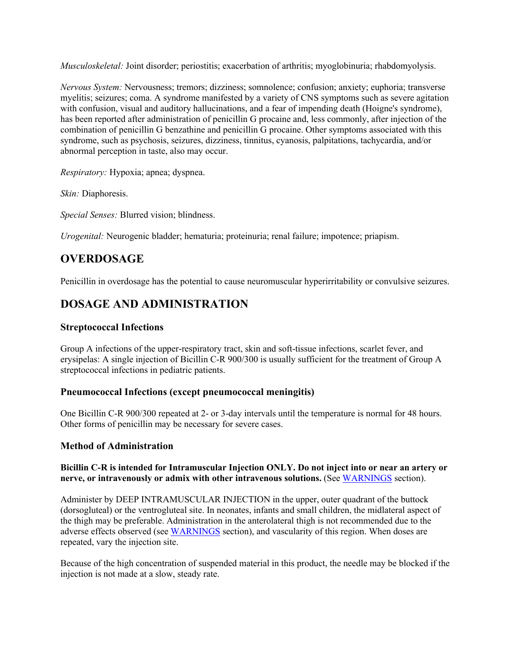*Musculoskeletal:* Joint disorder; periostitis; exacerbation of arthritis; myoglobinuria; rhabdomyolysis.

*Nervous System:* Nervousness; tremors; dizziness; somnolence; confusion; anxiety; euphoria; transverse myelitis; seizures; coma. A syndrome manifested by a variety of CNS symptoms such as severe agitation with confusion, visual and auditory hallucinations, and a fear of impending death (Hoigne's syndrome), has been reported after administration of penicillin G procaine and, less commonly, after injection of the combination of penicillin G benzathine and penicillin G procaine. Other symptoms associated with this syndrome, such as psychosis, seizures, dizziness, tinnitus, cyanosis, palpitations, tachycardia, and/or abnormal perception in taste, also may occur.

*Respiratory:* Hypoxia; apnea; dyspnea.

*Skin:* Diaphoresis.

*Special Senses:* Blurred vision; blindness.

*Urogenital:* Neurogenic bladder; hematuria; proteinuria; renal failure; impotence; priapism.

### **OVERDOSAGE**

Penicillin in overdosage has the potential to cause neuromuscular hyperirritability or convulsive seizures.

## <span id="page-9-0"></span>**DOSAGE AND ADMINISTRATION**

### **Streptococcal Infections**

Group A infections of the upper-respiratory tract, skin and soft-tissue infections, scarlet fever, and erysipelas: A single injection of Bicillin C-R 900/300 is usually sufficient for the treatment of Group A streptococcal infections in pediatric patients.

#### **Pneumococcal Infections (except pneumococcal meningitis)**

One Bicillin C-R 900/300 repeated at 2- or 3-day intervals until the temperature is normal for 48 hours. Other forms of penicillin may be necessary for severe cases.

#### **Method of Administration**

#### **Bicillin C-R is intended for Intramuscular Injection ONLY. Do not inject into or near an artery or nerve, or intravenously or admix with other intravenous solutions.** (See [WARNINGS](#page-3-0) section).

Administer by DEEP INTRAMUSCULAR INJECTION in the upper, outer quadrant of the buttock (dorsogluteal) or the ventrogluteal site. In neonates, infants and small children, the midlateral aspect of the thigh may be preferable. Administration in the anterolateral thigh is not recommended due to the adverse effects observed (see [WARNINGS](#page-3-0) section), and vascularity of this region. When doses are repeated, vary the injection site.

Because of the high concentration of suspended material in this product, the needle may be blocked if the injection is not made at a slow, steady rate.